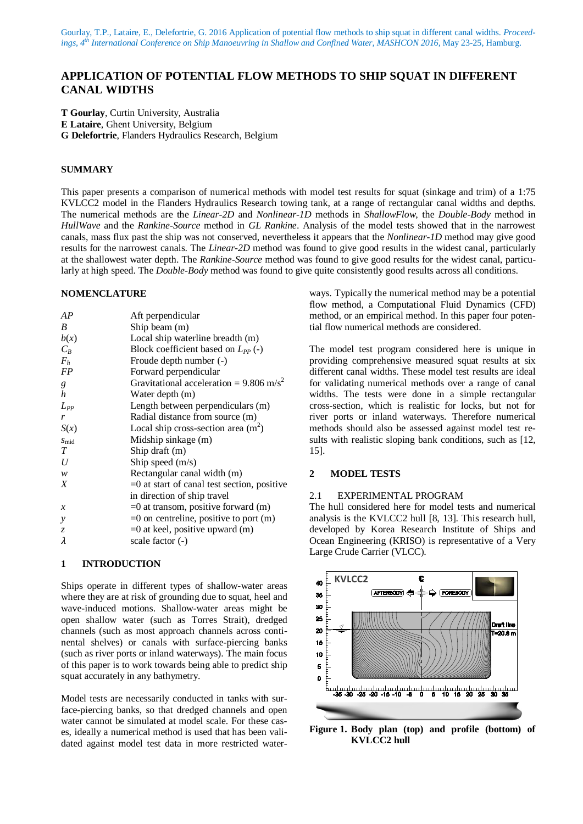# **APPLICATION OF POTENTIAL FLOW METHODS TO SHIP SQUAT IN DIFFERENT CANAL WIDTHS**

**T Gourlay**, Curtin University, Australia

**E Lataire**, Ghent University, Belgium

**G Delefortrie**, Flanders Hydraulics Research, Belgium

### **SUMMARY**

This paper presents a comparison of numerical methods with model test results for squat (sinkage and trim) of a 1:75 KVLCC2 model in the Flanders Hydraulics Research towing tank, at a range of rectangular canal widths and depths. The numerical methods are the *Linear-2D* and *Nonlinear-1D* methods in *ShallowFlow*, the *Double-Body* method in *HullWave* and the *Rankine-Source* method in *GL Rankine*. Analysis of the model tests showed that in the narrowest canals, mass flux past the ship was not conserved, nevertheless it appears that the *Nonlinear-1D* method may give good results for the narrowest canals. The *Linear-2D* method was found to give good results in the widest canal, particularly at the shallowest water depth. The *Rankine-Source* method was found to give good results for the widest canal, particularly at high speed. The *Double-Body* method was found to give quite consistently good results across all conditions.

## **NOMENCLATURE**

| AP            | Aft perpendicular                                     |
|---------------|-------------------------------------------------------|
| B             | Ship beam $(m)$                                       |
| b(x)          | Local ship waterline breadth (m)                      |
| $C_B$         | Block coefficient based on $L_{PP}$ (-)               |
| $F_h$         | Froude depth number (-)                               |
| <b>FP</b>     | Forward perpendicular                                 |
| g             | Gravitational acceleration = $9.806$ m/s <sup>2</sup> |
| h             | Water depth (m)                                       |
| $L_{PP}$      | Length between perpendiculars (m)                     |
| r             | Radial distance from source (m)                       |
| S(x)          | Local ship cross-section area $(m2)$                  |
| $S_{mid}$     | Midship sinkage (m)                                   |
| T             | Ship draft (m)                                        |
| U             | Ship speed $(m/s)$                                    |
| w             | Rectangular canal width (m)                           |
| X             | $=0$ at start of canal test section, positive         |
|               | in direction of ship travel                           |
| $\mathcal{X}$ | $=0$ at transom, positive forward (m)                 |
| y             | $=0$ on centreline, positive to port $(m)$            |
| $\mathcal{Z}$ | $=0$ at keel, positive upward (m)                     |
| λ             | scale factor (-)                                      |

## **1 INTRODUCTION**

Ships operate in different types of shallow-water areas where they are at risk of grounding due to squat, heel and wave-induced motions. Shallow-water areas might be open shallow water (such as Torres Strait), dredged channels (such as most approach channels across continental shelves) or canals with surface-piercing banks (such as river ports or inland waterways). The main focus of this paper is to work towards being able to predict ship squat accurately in any bathymetry.

Model tests are necessarily conducted in tanks with surface-piercing banks, so that dredged channels and open water cannot be simulated at model scale. For these cases, ideally a numerical method is used that has been validated against model test data in more restricted waterways. Typically the numerical method may be a potential flow method, a Computational Fluid Dynamics (CFD) method, or an empirical method. In this paper four potential flow numerical methods are considered.

The model test program considered here is unique in providing comprehensive measured squat results at six different canal widths. These model test results are ideal for validating numerical methods over a range of canal widths. The tests were done in a simple rectangular cross-section, which is realistic for locks, but not for river ports or inland waterways. Therefore numerical methods should also be assessed against model test results with realistic sloping bank conditions, such as [12, 15].

### **2 MODEL TESTS**

#### 2.1 EXPERIMENTAL PROGRAM

The hull considered here for model tests and numerical analysis is the KVLCC2 hull [8, 13]. This research hull, developed by Korea Research Institute of Ships and Ocean Engineering (KRISO) is representative of a Very Large Crude Carrier (VLCC).



**Figure 1. Body plan (top) and profile (bottom) of KVLCC2 hull**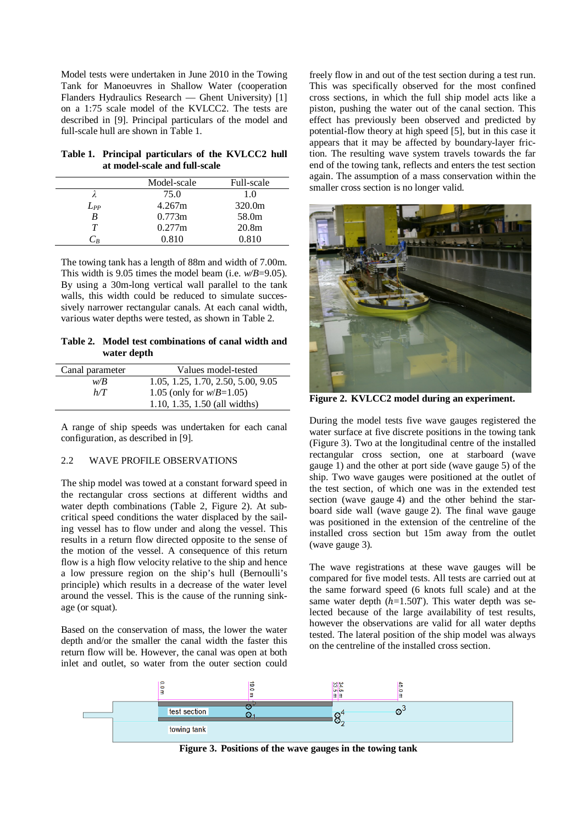Model tests were undertaken in June 2010 in the Towing Tank for Manoeuvres in Shallow Water (cooperation Flanders Hydraulics Research — Ghent University) [1] on a 1:75 scale model of the KVLCC2. The tests are described in [9]. Principal particulars of the model and full-scale hull are shown in Table 1.

**Table 1. Principal particulars of the KVLCC2 hull at model-scale and full-scale**

|          | Model-scale | Full-scale        |
|----------|-------------|-------------------|
|          | 75.0        | 1.0               |
| $L_{PP}$ | 4.267m      | 320.0m            |
| B        | 0.773m      | 58.0 <sub>m</sub> |
| Т        | 0.277m      | 20.8m             |
|          | 0.810       | 0.810             |

The towing tank has a length of 88m and width of 7.00m. This width is 9.05 times the model beam (i.e. *w/B*=9.05). By using a 30m-long vertical wall parallel to the tank walls, this width could be reduced to simulate successively narrower rectangular canals. At each canal width, various water depths were tested, as shown in Table 2.

**Table 2. Model test combinations of canal width and water depth**

| Canal parameter | Values model-tested                |
|-----------------|------------------------------------|
| w/B             | 1.05, 1.25, 1.70, 2.50, 5.00, 9.05 |
| h/T             | 1.05 (only for $w/B = 1.05$ )      |
|                 | 1.10, 1.35, 1.50 (all widths)      |

A range of ship speeds was undertaken for each canal configuration, as described in [9].

#### 2.2 WAVE PROFILE OBSERVATIONS

The ship model was towed at a constant forward speed in the rectangular cross sections at different widths and water depth combinations (Table 2, Figure 2). At subcritical speed conditions the water displaced by the sailing vessel has to flow under and along the vessel. This results in a return flow directed opposite to the sense of the motion of the vessel. A consequence of this return flow is a high flow velocity relative to the ship and hence a low pressure region on the ship's hull (Bernoulli's principle) which results in a decrease of the water level around the vessel. This is the cause of the running sinkage (or squat).

Based on the conservation of mass, the lower the water depth and/or the smaller the canal width the faster this return flow will be. However, the canal was open at both inlet and outlet, so water from the outer section could

freely flow in and out of the test section during a test run. This was specifically observed for the most confined cross sections, in which the full ship model acts like a piston, pushing the water out of the canal section. This effect has previously been observed and predicted by potential-flow theory at high speed [5], but in this case it appears that it may be affected by boundary-layer friction. The resulting wave system travels towards the far end of the towing tank, reflects and enters the test section again. The assumption of a mass conservation within the smaller cross section is no longer valid.



**Figure 2. KVLCC2 model during an experiment.**

During the model tests five wave gauges registered the water surface at five discrete positions in the towing tank (Figure 3). Two at the longitudinal centre of the installed rectangular cross section, one at starboard (wave gauge 1) and the other at port side (wave gauge 5) of the ship. Two wave gauges were positioned at the outlet of the test section, of which one was in the extended test section (wave gauge 4) and the other behind the starboard side wall (wave gauge 2). The final wave gauge was positioned in the extension of the centreline of the installed cross section but 15m away from the outlet (wave gauge 3).

The wave registrations at these wave gauges will be compared for five model tests. All tests are carried out at the same forward speed (6 knots full scale) and at the same water depth  $(h=1.50T)$ . This water depth was selected because of the large availability of test results, however the observations are valid for all water depths tested. The lateral position of the ship model was always on the centreline of the installed cross section.



**Figure 3. Positions of the wave gauges in the towing tank**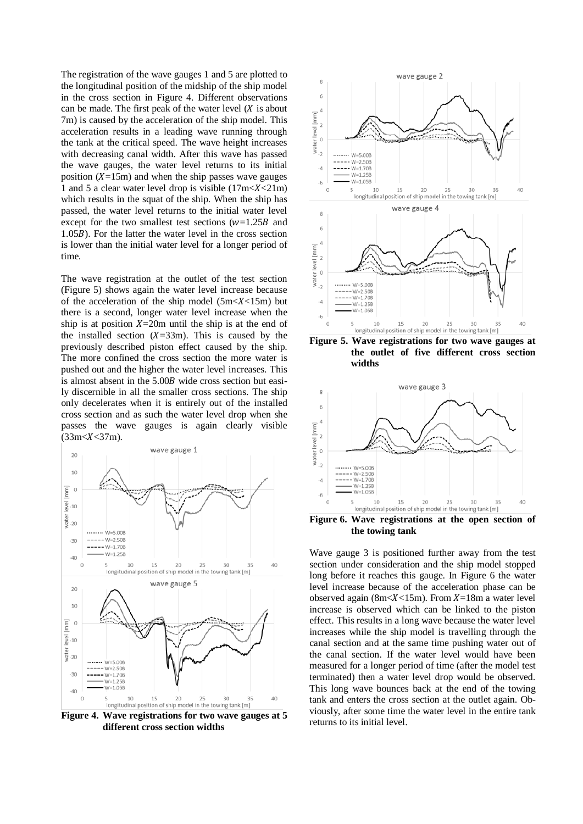The registration of the wave gauges 1 and 5 are plotted to the longitudinal position of the midship of the ship model in the cross section in Figure 4. Different observations can be made. The first peak of the water level  $(X$  is about 7m) is caused by the acceleration of the ship model. This acceleration results in a leading wave running through the tank at the critical speed. The wave height increases with decreasing canal width. After this wave has passed the wave gauges, the water level returns to its initial position  $(X=15m)$  and when the ship passes wave gauges 1 and 5 a clear water level drop is visible  $(17m < X < 21m)$ which results in the squat of the ship. When the ship has passed, the water level returns to the initial water level except for the two smallest test sections  $(w=1.25B)$  and 1.05B). For the latter the water level in the cross section is lower than the initial water level for a longer period of time.

The wave registration at the outlet of the test section (Figure 5) shows again the water level increase because of the acceleration of the ship model  $(5m < X < 15m)$  but there is a second, longer water level increase when the ship is at position  $X=20m$  until the ship is at the end of the installed section  $(X=33m)$ . This is caused by the previously described piston effect caused by the ship. The more confined the cross section the more water is pushed out and the higher the water level increases. This is almost absent in the 5.00B wide cross section but easily discernible in all the smaller cross sections. The ship only decelerates when it is entirely out of the installed cross section and as such the water level drop when she passes the wave gauges is again clearly visible  $(33m < X < 37m)$ .



**Figure 4. Wave registrations for two wave gauges at 5 different cross section widths**



**Figure 5. Wave registrations for two wave gauges at the outlet of five different cross section widths**



**Figure 6. Wave registrations at the open section of the towing tank**

Wave gauge 3 is positioned further away from the test section under consideration and the ship model stopped long before it reaches this gauge. In Figure 6 the water level increase because of the acceleration phase can be observed again (8m $\lt X$  < 15m). From X=18m a water level increase is observed which can be linked to the piston effect. This results in a long wave because the water level increases while the ship model is travelling through the canal section and at the same time pushing water out of the canal section. If the water level would have been measured for a longer period of time (after the model test terminated) then a water level drop would be observed. This long wave bounces back at the end of the towing tank and enters the cross section at the outlet again. Obviously, after some time the water level in the entire tank returns to its initial level.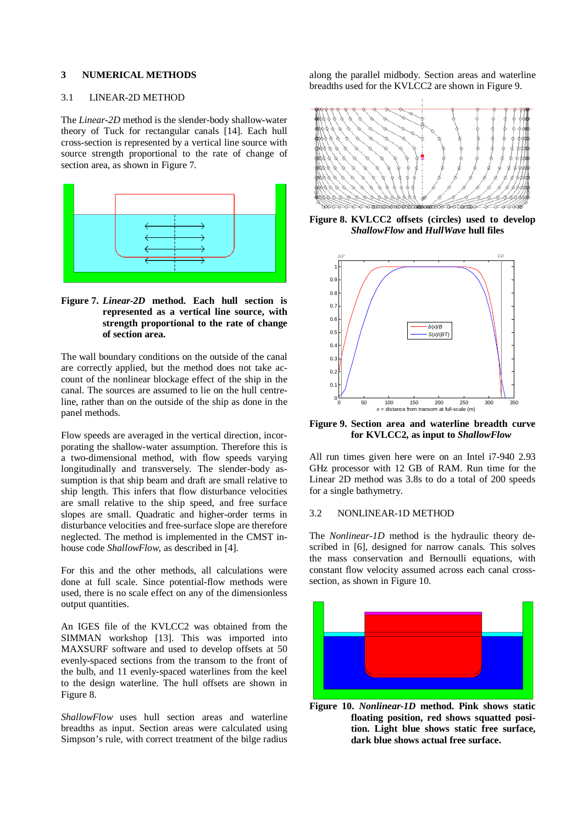## **3 NUMERICAL METHODS**

# 3.1 LINEAR-2D METHOD

The *Linear-2D* method is the slender-body shallow-water theory of Tuck for rectangular canals [14]. Each hull cross-section is represented by a vertical line source with source strength proportional to the rate of change of section area, as shown in Figure 7.



## **Figure 7.** *Linear-2D* **method. Each hull section is represented as a vertical line source, with strength proportional to the rate of change of section area.**

The wall boundary conditions on the outside of the canal are correctly applied, but the method does not take account of the nonlinear blockage effect of the ship in the canal. The sources are assumed to lie on the hull centreline, rather than on the outside of the ship as done in the panel methods.

Flow speeds are averaged in the vertical direction, incorporating the shallow-water assumption. Therefore this is a two-dimensional method, with flow speeds varying longitudinally and transversely. The slender-body assumption is that ship beam and draft are small relative to ship length. This infers that flow disturbance velocities are small relative to the ship speed, and free surface slopes are small. Quadratic and higher-order terms in disturbance velocities and free-surface slope are therefore neglected. The method is implemented in the CMST inhouse code *ShallowFlow*, as described in [4].

For this and the other methods, all calculations were done at full scale. Since potential-flow methods were used, there is no scale effect on any of the dimensionless output quantities.

An IGES file of the KVLCC2 was obtained from the SIMMAN workshop [13]. This was imported into MAXSURF software and used to develop offsets at 50 evenly-spaced sections from the transom to the front of the bulb, and 11 evenly-spaced waterlines from the keel to the design waterline. The hull offsets are shown in Figure 8.

*ShallowFlow* uses hull section areas and waterline breadths as input. Section areas were calculated using Simpson's rule, with correct treatment of the bilge radius along the parallel midbody. Section areas and waterline breadths used for the KVLCC2 are shown in Figure 9.



**Figure 8. KVLCC2 offsets (circles) used to develop**  *ShallowFlow* **and** *HullWave* **hull files**



**Figure 9. Section area and waterline breadth curve for KVLCC2, as input to** *ShallowFlow*

All run times given here were on an Intel i7-940 2.93 GHz processor with 12 GB of RAM. Run time for the Linear 2D method was 3.8s to do a total of 200 speeds for a single bathymetry.

#### 3.2 NONLINEAR-1D METHOD

The *Nonlinear-1D* method is the hydraulic theory described in [6], designed for narrow canals. This solves the mass conservation and Bernoulli equations, with constant flow velocity assumed across each canal crosssection, as shown in Figure 10.



**Figure 10.** *Nonlinear-1D* **method. Pink shows static floating position, red shows squatted position. Light blue shows static free surface, dark blue shows actual free surface.**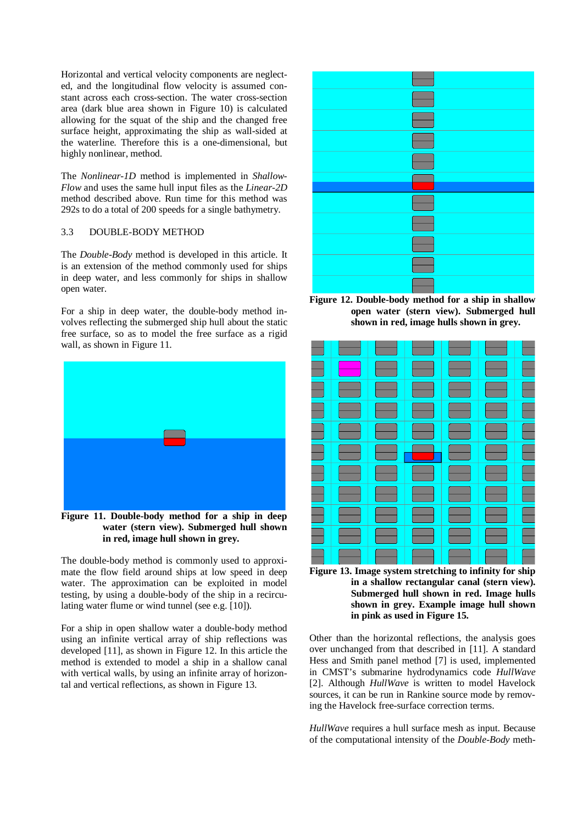Horizontal and vertical velocity components are neglected, and the longitudinal flow velocity is assumed constant across each cross-section. The water cross-section area (dark blue area shown in Figure 10) is calculated allowing for the squat of the ship and the changed free surface height, approximating the ship as wall-sided at the waterline. Therefore this is a one-dimensional, but highly nonlinear, method.

The *Nonlinear-1D* method is implemented in *Shallow-Flow* and uses the same hull input files as the *Linear-2D* method described above. Run time for this method was 292s to do a total of 200 speeds for a single bathymetry.

## 3.3 DOUBLE-BODY METHOD

The *Double-Body* method is developed in this article. It is an extension of the method commonly used for ships in deep water, and less commonly for ships in shallow open water.

For a ship in deep water, the double-body method involves reflecting the submerged ship hull about the static free surface, so as to model the free surface as a rigid wall, as shown in Figure 11.



**Figure 11. Double-body method for a ship in deep water (stern view). Submerged hull shown in red, image hull shown in grey.**

The double-body method is commonly used to approximate the flow field around ships at low speed in deep water. The approximation can be exploited in model testing, by using a double-body of the ship in a recirculating water flume or wind tunnel (see e.g. [10]).

For a ship in open shallow water a double-body method using an infinite vertical array of ship reflections was developed [11], as shown in Figure 12. In this article the method is extended to model a ship in a shallow canal with vertical walls, by using an infinite array of horizontal and vertical reflections, as shown in Figure 13.



**Figure 12. Double-body method for a ship in shallow open water (stern view). Submerged hull shown in red, image hulls shown in grey.**





Other than the horizontal reflections, the analysis goes over unchanged from that described in [11]. A standard Hess and Smith panel method [7] is used, implemented in CMST's submarine hydrodynamics code *HullWave* [2]. Although *HullWave* is written to model Havelock sources, it can be run in Rankine source mode by removing the Havelock free-surface correction terms.

*HullWave* requires a hull surface mesh as input. Because of the computational intensity of the *Double-Body* meth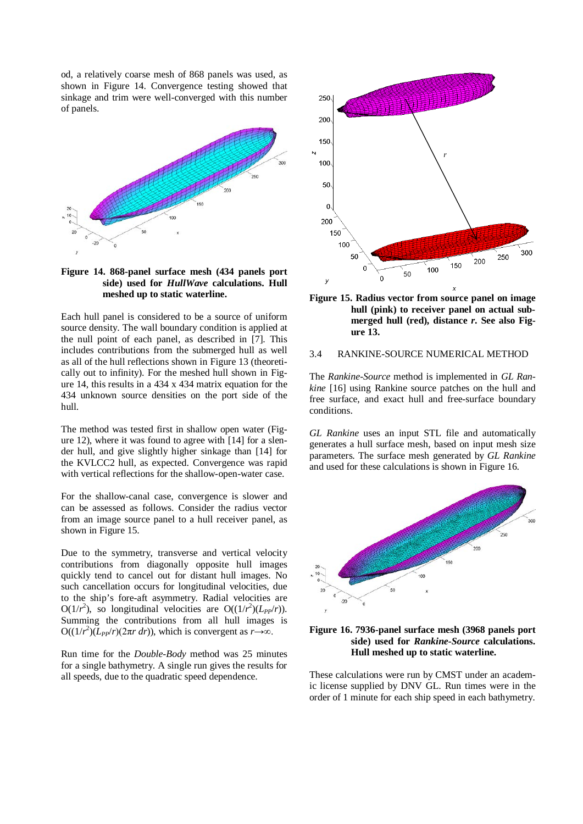od, a relatively coarse mesh of 868 panels was used, as shown in Figure 14. Convergence testing showed that sinkage and trim were well-converged with this number of panels.



## **Figure 14. 868-panel surface mesh (434 panels port side) used for** *HullWave* **calculations. Hull meshed up to static waterline.**

Each hull panel is considered to be a source of uniform source density. The wall boundary condition is applied at the null point of each panel, as described in [7]. This includes contributions from the submerged hull as well as all of the hull reflections shown in Figure 13 (theoretically out to infinity). For the meshed hull shown in Figure 14, this results in a 434 x 434 matrix equation for the 434 unknown source densities on the port side of the hull.

The method was tested first in shallow open water (Figure 12), where it was found to agree with [14] for a slender hull, and give slightly higher sinkage than [14] for the KVLCC2 hull, as expected. Convergence was rapid with vertical reflections for the shallow-open-water case.

For the shallow-canal case, convergence is slower and can be assessed as follows. Consider the radius vector from an image source panel to a hull receiver panel, as shown in Figure 15.

Due to the symmetry, transverse and vertical velocity contributions from diagonally opposite hull images quickly tend to cancel out for distant hull images. No such cancellation occurs for longitudinal velocities, due to the ship's fore-aft asymmetry. Radial velocities are O( $1/r^2$ ), so longitudinal velocities are O( $(1/r^2)(L_{PP}/r)$ ). Summing the contributions from all hull images is  $O((1/r<sup>2</sup>)(L<sub>PP</sub>/r)(2πr dr))$ , which is convergent as *r*→∞.

Run time for the *Double-Body* method was 25 minutes for a single bathymetry. A single run gives the results for all speeds, due to the quadratic speed dependence.





#### 3.4 RANKINE-SOURCE NUMERICAL METHOD

The *Rankine-Source* method is implemented in *GL Rankine* [16] using Rankine source patches on the hull and free surface, and exact hull and free-surface boundary conditions.

*GL Rankine* uses an input STL file and automatically generates a hull surface mesh, based on input mesh size parameters. The surface mesh generated by *GL Rankine* and used for these calculations is shown in Figure 16.





These calculations were run by CMST under an academic license supplied by DNV GL. Run times were in the order of 1 minute for each ship speed in each bathymetry.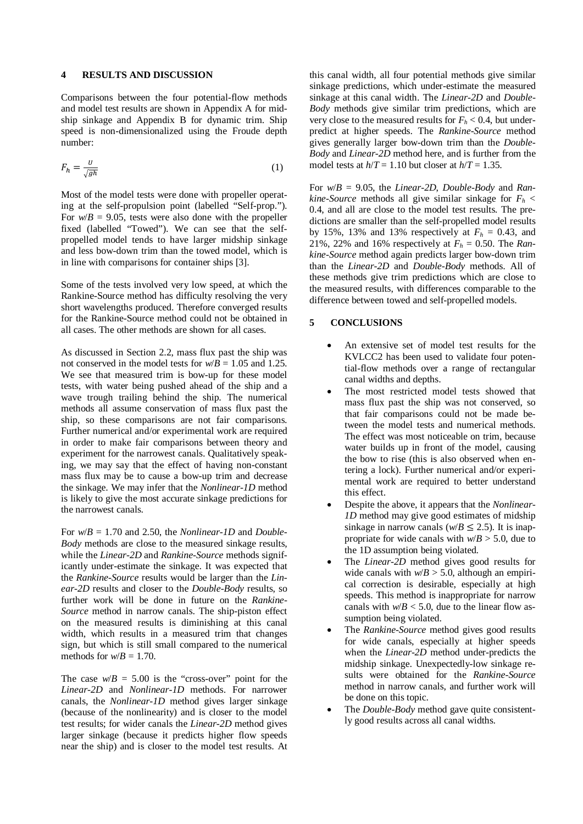#### **4 RESULTS AND DISCUSSION**

Comparisons between the four potential-flow methods and model test results are shown in Appendix A for midship sinkage and Appendix B for dynamic trim. Ship speed is non-dimensionalized using the Froude depth number:

$$
F_h = \frac{U}{\sqrt{gh}}\tag{1}
$$

Most of the model tests were done with propeller operating at the self-propulsion point (labelled "Self-prop."). For  $w/B = 9.05$ , tests were also done with the propeller fixed (labelled "Towed"). We can see that the selfpropelled model tends to have larger midship sinkage and less bow-down trim than the towed model, which is in line with comparisons for container ships [3].

Some of the tests involved very low speed, at which the Rankine-Source method has difficulty resolving the very short wavelengths produced. Therefore converged results for the Rankine-Source method could not be obtained in all cases. The other methods are shown for all cases.

As discussed in Section 2.2, mass flux past the ship was not conserved in the model tests for  $w/B = 1.05$  and 1.25. We see that measured trim is bow-up for these model tests, with water being pushed ahead of the ship and a wave trough trailing behind the ship. The numerical methods all assume conservation of mass flux past the ship, so these comparisons are not fair comparisons. Further numerical and/or experimental work are required in order to make fair comparisons between theory and experiment for the narrowest canals. Qualitatively speaking, we may say that the effect of having non-constant mass flux may be to cause a bow-up trim and decrease the sinkage. We may infer that the *Nonlinear-1D* method is likely to give the most accurate sinkage predictions for the narrowest canals.

For *w*/*B* = 1.70 and 2.50, the *Nonlinear-1D* and *Double-Body* methods are close to the measured sinkage results, while the *Linear-2D* and *Rankine-Source* methods significantly under-estimate the sinkage. It was expected that the *Rankine-Source* results would be larger than the *Linear-2D* results and closer to the *Double-Body* results, so further work will be done in future on the *Rankine-Source* method in narrow canals. The ship-piston effect on the measured results is diminishing at this canal width, which results in a measured trim that changes sign, but which is still small compared to the numerical methods for  $w/B = 1.70$ .

The case  $w/B = 5.00$  is the "cross-over" point for the *Linear-2D* and *Nonlinear-1D* methods. For narrower canals, the *Nonlinear-1D* method gives larger sinkage (because of the nonlinearity) and is closer to the model test results; for wider canals the *Linear-2D* method gives larger sinkage (because it predicts higher flow speeds near the ship) and is closer to the model test results. At this canal width, all four potential methods give similar sinkage predictions, which under-estimate the measured sinkage at this canal width. The *Linear-2D* and *Double-Body* methods give similar trim predictions, which are very close to the measured results for  $F_h < 0.4$ , but underpredict at higher speeds. The *Rankine-Source* method gives generally larger bow-down trim than the *Double-Body* and *Linear-2D* method here, and is further from the model tests at  $h/T = 1.10$  but closer at  $h/T = 1.35$ .

For *w*/*B* = 9.05, the *Linear-2D*, *Double-Body* and *Rankine-Source* methods all give similar sinkage for  $F<sub>h</sub>$  < 0.4, and all are close to the model test results. The predictions are smaller than the self-propelled model results by 15%, 13% and 13% respectively at  $F_h = 0.43$ , and 21%, 22% and 16% respectively at  $F_h = 0.50$ . The *Rankine-Source* method again predicts larger bow-down trim than the *Linear-2D* and *Double-Body* methods. All of these methods give trim predictions which are close to the measured results, with differences comparable to the difference between towed and self-propelled models.

## **5 CONCLUSIONS**

- An extensive set of model test results for the KVLCC2 has been used to validate four potential-flow methods over a range of rectangular canal widths and depths.
- The most restricted model tests showed that mass flux past the ship was not conserved, so that fair comparisons could not be made between the model tests and numerical methods. The effect was most noticeable on trim, because water builds up in front of the model, causing the bow to rise (this is also observed when entering a lock). Further numerical and/or experimental work are required to better understand this effect.
- Despite the above, it appears that the *Nonlinear-1D* method may give good estimates of midship sinkage in narrow canals ( $w/B \le 2.5$ ). It is inappropriate for wide canals with  $w/B > 5.0$ , due to the 1D assumption being violated.
- The *Linear-2D* method gives good results for wide canals with  $w/B > 5.0$ , although an empirical correction is desirable, especially at high speeds. This method is inappropriate for narrow canals with  $w/B < 5.0$ , due to the linear flow assumption being violated.
- The *Rankine-Source* method gives good results for wide canals, especially at higher speeds when the *Linear-2D* method under-predicts the midship sinkage. Unexpectedly-low sinkage results were obtained for the *Rankine-Source* method in narrow canals, and further work will be done on this topic.
- The *Double-Body* method gave quite consistently good results across all canal widths.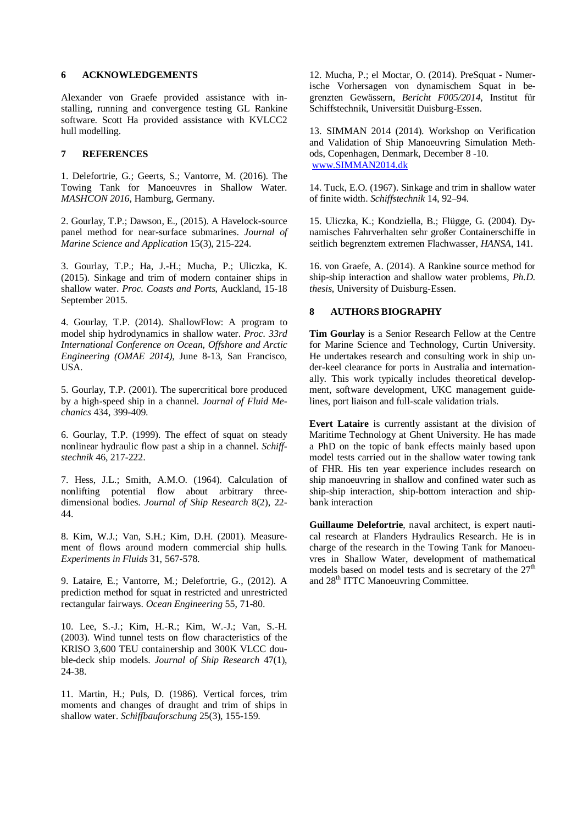## **6 ACKNOWLEDGEMENTS**

Alexander von Graefe provided assistance with installing, running and convergence testing GL Rankine software. Scott Ha provided assistance with KVLCC2 hull modelling.

### **7 REFERENCES**

1. Delefortrie, G.; Geerts, S.; Vantorre, M. (2016). The Towing Tank for Manoeuvres in Shallow Water. *MASHCON 2016*, Hamburg, Germany.

2. Gourlay, T.P.; Dawson, E., (2015). A Havelock-source panel method for near-surface submarines. *Journal of Marine Science and Application* 15(3), 215-224.

3. Gourlay, T.P.; Ha, J.-H.; Mucha, P.; Uliczka, K. (2015). Sinkage and trim of modern container ships in shallow water. *Proc. Coasts and Ports*, Auckland, 15-18 September 2015.

4. Gourlay, T.P. (2014). ShallowFlow: A program to model ship hydrodynamics in shallow water. *Proc. 33rd International Conference on Ocean, Offshore and Arctic Engineering (OMAE 2014)*, June 8-13, San Francisco, USA.

5. Gourlay, T.P. (2001). The supercritical bore produced by a high-speed ship in a channel. *Journal of Fluid Mechanics* 434, 399-409.

6. Gourlay, T.P. (1999). The effect of squat on steady nonlinear hydraulic flow past a ship in a channel. *Schiffstechnik* 46, 217-222.

7. Hess, J.L.; Smith, A.M.O. (1964). Calculation of nonlifting potential flow about arbitrary threedimensional bodies. *Journal of Ship Research* 8(2), 22- 44.

8. Kim, W.J.; Van, S.H.; Kim, D.H. (2001). Measurement of flows around modern commercial ship hulls. *Experiments in Fluids* 31, 567-578.

9. Lataire, E.; Vantorre, M.; Delefortrie, G., (2012). A prediction method for squat in restricted and unrestricted rectangular fairways. *Ocean Engineering* 55, 71-80.

10. Lee, S.-J.; Kim, H.-R.; Kim, W.-J.; Van, S.-H. (2003). Wind tunnel tests on flow characteristics of the KRISO 3,600 TEU containership and 300K VLCC double-deck ship models. *Journal of Ship Research* 47(1), 24-38.

11. Martin, H.; Puls, D. (1986). Vertical forces, trim moments and changes of draught and trim of ships in shallow water. *Schiffbauforschung* 25(3), 155-159.

12. Mucha, P.; el Moctar, O. (2014). PreSquat - Numerische Vorhersagen von dynamischem Squat in begrenzten Gewässern, *Bericht F005/2014*, Institut für Schiffstechnik, Universität Duisburg-Essen.

13. SIMMAN 2014 (2014). Workshop on Verification and Validation of Ship Manoeuvring Simulation Methods, Copenhagen, Denmark, December 8 -10. [www.SIMMAN2014.dk](http://www.simman2014.dk/)

14. Tuck, E.O. (1967). Sinkage and trim in shallow water of finite width. *Schiffstechnik* 14, 92–94.

15. Uliczka, K.; Kondziella, B.; Flügge, G. (2004). Dynamisches Fahrverhalten sehr großer Containerschiffe in seitlich begrenztem extremen Flachwasser, *HANSA*, 141.

16. von Graefe, A. (2014). A Rankine source method for ship-ship interaction and shallow water problems, *Ph.D. thesis*, University of Duisburg-Essen.

## **8 AUTHORS BIOGRAPHY**

**Tim Gourlay** is a Senior Research Fellow at the Centre for Marine Science and Technology, Curtin University. He undertakes research and consulting work in ship under-keel clearance for ports in Australia and internationally. This work typically includes theoretical development, software development, UKC management guidelines, port liaison and full-scale validation trials.

**Evert Lataire** is currently assistant at the division of Maritime Technology at Ghent University. He has made a PhD on the topic of bank effects mainly based upon model tests carried out in the shallow water towing tank of FHR. His ten year experience includes research on ship manoeuvring in shallow and confined water such as ship-ship interaction, ship-bottom interaction and shipbank interaction

**Guillaume Delefortrie**, naval architect, is expert nautical research at Flanders Hydraulics Research. He is in charge of the research in the Towing Tank for Manoeuvres in Shallow Water, development of mathematical models based on model tests and is secretary of the  $27<sup>th</sup>$ and 28<sup>th</sup> ITTC Manoeuvring Committee.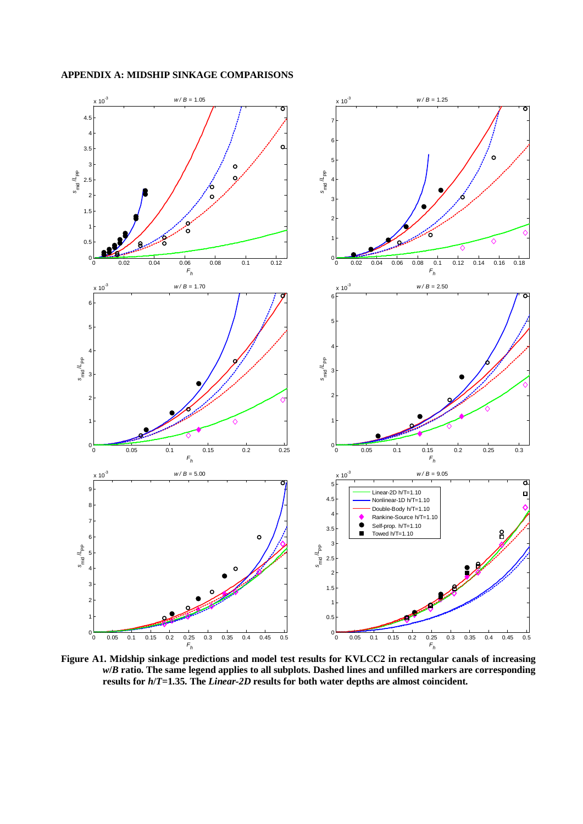

**Figure A1. Midship sinkage predictions and model test results for KVLCC2 in rectangular canals of increasing**  *w***/***B* **ratio. The same legend applies to all subplots. Dashed lines and unfilled markers are corresponding results for** *h***/***T***=1.35. The** *Linear-2D* **results for both water depths are almost coincident.**